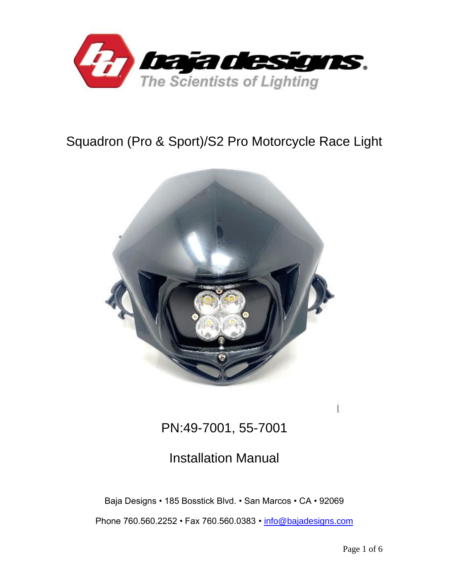

# Squadron (Pro & Sport)/S2 Pro Motorcycle Race Light



# PN:49-7001, 55-7001

# Installation Manual

Baja Designs • 185 Bosstick Blvd. • San Marcos • CA • 92069

Phone 760.560.2252 • Fax 760.560.0383 *•* [info@bajadesigns.com](mailto:info@bajadesigns.com)

Ï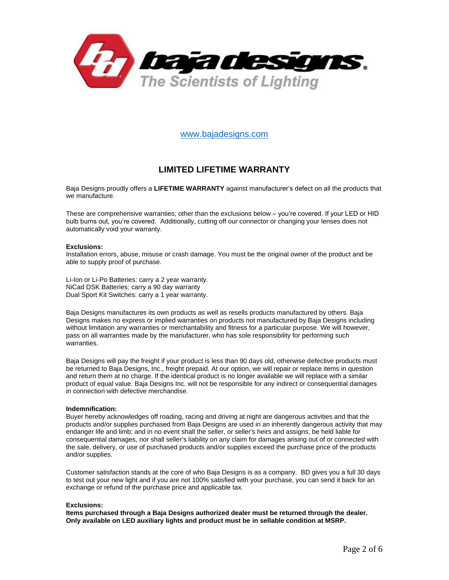

[www.bajadesigns.com](http://www.bajadesigns.com/)

## **LIMITED LIFETIME WARRANTY**

Baja Designs proudly offers a **LIFETIME WARRANTY** against manufacturer's defect on all the products that we manufacture.

These are comprehensive warranties; other than the exclusions below – you're covered. If your LED or HID bulb burns out, you're covered. Additionally, cutting off our connector or changing your lenses does not automatically void your warranty.

#### **Exclusions:**

Installation errors, abuse, misuse or crash damage. You must be the original owner of the product and be able to supply proof of purchase.

Li-Ion or Li-Po Batteries: carry a 2 year warranty. NiCad DSK Batteries: carry a 90 day warranty Dual Sport Kit Switches: carry a 1 year warranty.

Baja Designs manufactures its own products as well as resells products manufactured by others. Baja Designs makes no express or implied warranties on products not manufactured by Baja Designs including without limitation any warranties or merchantability and fitness for a particular purpose. We will however, pass on all warranties made by the manufacturer, who has sole responsibility for performing such warranties.

Baja Designs will pay the freight if your product is less than 90 days old, otherwise defective products must be returned to Baja Designs, Inc., freight prepaid. At our option, we will repair or replace items in question and return them at no charge. If the identical product is no longer available we will replace with a similar product of equal value. Baja Designs Inc. will not be responsible for any indirect or consequential damages in connection with defective merchandise.

#### **Indemnification:**

Buyer hereby acknowledges off roading, racing and driving at night are dangerous activities and that the products and/or supplies purchased from Baja Designs are used in an inherently dangerous activity that may endanger life and limb; and in no event shall the seller, or seller's heirs and assigns, be held liable for consequential damages, nor shall seller's liability on any claim for damages arising out of or connected with the sale, delivery, or use of purchased products and/or supplies exceed the purchase price of the products and/or supplies.

Customer satisfaction stands at the core of who Baja Designs is as a company. BD gives you a full 30 days to test out your new light and if you are not 100% satisfied with your purchase, you can send it back for an exchange or refund of the purchase price and applicable tax.

#### **Exclusions:**

**Items purchased through a Baja Designs authorized dealer must be returned through the dealer. Only available on LED auxiliary lights and product must be in sellable condition at MSRP.**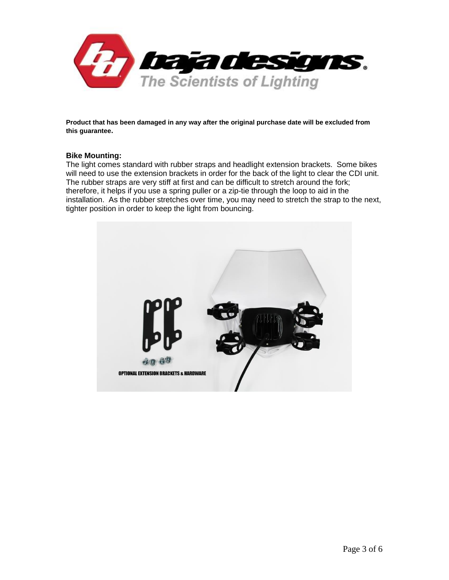

**Product that has been damaged in any way after the original purchase date will be excluded from this guarantee.**

## **Bike Mounting:**

The light comes standard with rubber straps and headlight extension brackets. Some bikes will need to use the extension brackets in order for the back of the light to clear the CDI unit. The rubber straps are very stiff at first and can be difficult to stretch around the fork; therefore, it helps if you use a spring puller or a zip-tie through the loop to aid in the installation. As the rubber stretches over time, you may need to stretch the strap to the next, tighter position in order to keep the light from bouncing.

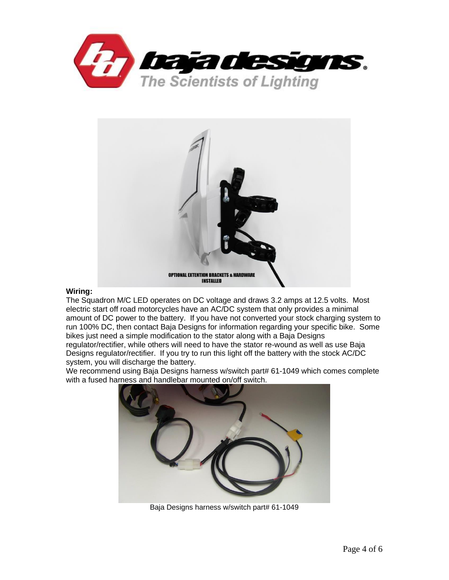



### **Wiring:**

The Squadron M/C LED operates on DC voltage and draws 3.2 amps at 12.5 volts. Most electric start off road motorcycles have an AC/DC system that only provides a minimal amount of DC power to the battery. If you have not converted your stock charging system to run 100% DC, then contact Baja Designs for information regarding your specific bike. Some bikes just need a simple modification to the stator along with a Baja Designs

regulator/rectifier, while others will need to have the stator re-wound as well as use Baja Designs regulator/rectifier. If you try to run this light off the battery with the stock AC/DC system, you will discharge the battery.

We recommend using Baja Designs harness w/switch part# 61-1049 which comes complete with a fused harness and handlebar mounted on/off switch.



Baja Designs harness w/switch part# 61-1049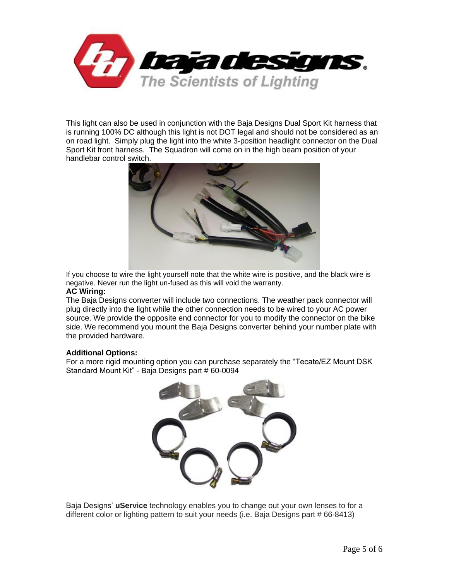

This light can also be used in conjunction with the Baja Designs Dual Sport Kit harness that is running 100% DC although this light is not DOT legal and should not be considered as an on road light. Simply plug the light into the white 3-position headlight connector on the Dual Sport Kit front harness. The Squadron will come on in the high beam position of your handlebar control switch.



If you choose to wire the light yourself note that the white wire is positive, and the black wire is negative. Never run the light un-fused as this will void the warranty.

### **AC Wiring:**

The Baja Designs converter will include two connections. The weather pack connector will plug directly into the light while the other connection needs to be wired to your AC power source. We provide the opposite end connector for you to modify the connector on the bike side. We recommend you mount the Baja Designs converter behind your number plate with the provided hardware.

### **Additional Options:**

For a more rigid mounting option you can purchase separately the "Tecate/EZ Mount DSK Standard Mount Kit" - Baja Designs part # 60-0094



Baja Designs' **uService** technology enables you to change out your own lenses to for a different color or lighting pattern to suit your needs (i.e. Baja Designs part # 66-8413)